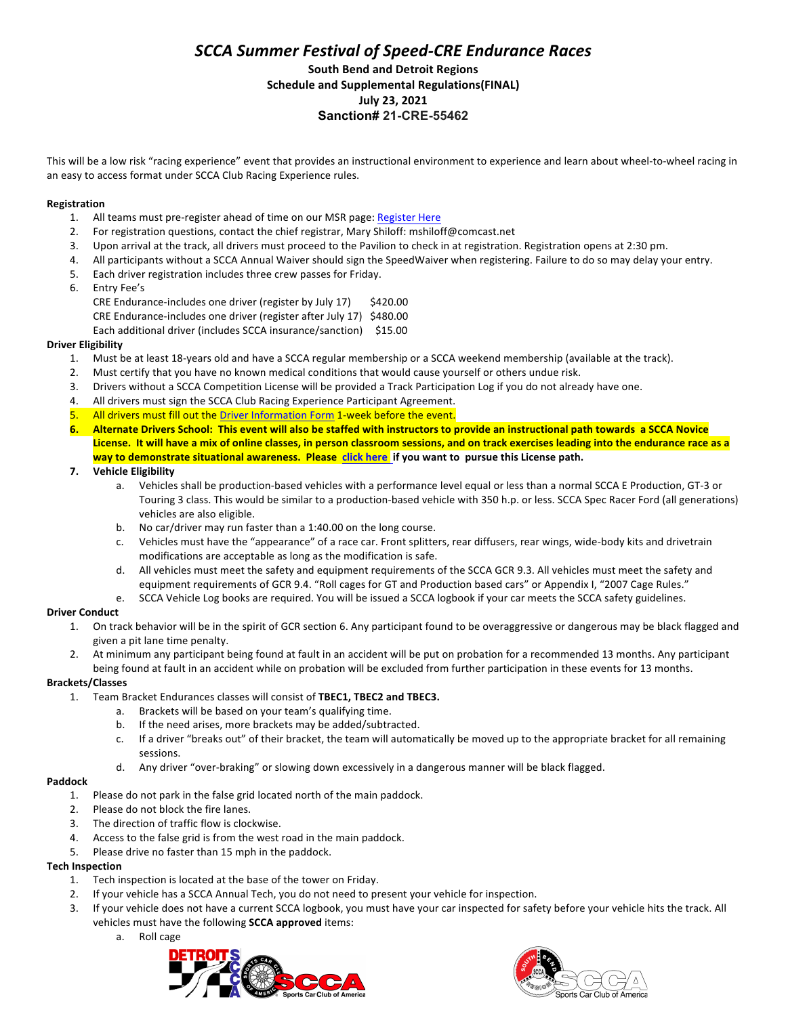## *SCCA Summer Festival of Speed-CRE Endurance Races* **South Bend and Detroit Regions Schedule and Supplemental Regulations(FINAL) July 23, 2021 Sanction# 21-CRE-55462**

This will be a low risk "racing experience" event that provides an instructional environment to experience and learn about wheel-to-wheel racing in an easy to access format under SCCA Club Racing Experience rules.

### **Registration**

- 1. All teams must pre-register ahead of time on our MSR page: Register Here
- 2. For registration questions, contact the chief registrar, Mary Shiloff: mshiloff@comcast.net
- 3. Upon arrival at the track, all drivers must proceed to the Pavilion to check in at registration. Registration opens at 2:30 pm.
- 4. All participants without a SCCA Annual Waiver should sign the SpeedWaiver when registering. Failure to do so may delay your entry.
- 5. Each driver registration includes three crew passes for Friday.
- 6. Entry Fee's

CRE Endurance-includes one driver (register by July 17) \$420.00

CRE Endurance-includes one driver (register after July 17) \$480.00

Each additional driver (includes SCCA insurance/sanction) \$15.00

### **Driver Eligibility**

- 1. Must be at least 18-years old and have a SCCA regular membership or a SCCA weekend membership (available at the track).
- 2. Must certify that you have no known medical conditions that would cause yourself or others undue risk.
- 3. Drivers without a SCCA Competition License will be provided a Track Participation Log if you do not already have one.
- 4. All drivers must sign the SCCA Club Racing Experience Participant Agreement.
- 5. All drivers must fill out the Driver Information Form 1-week before the event.
- **6.** Alternate Drivers School: This event will also be staffed with instructors to provide an instructional path towards a SCCA Novice License. It will have a mix of online classes, in person classroom sessions, and on track exercises leading into the endurance race as a way to demonstrate situational awareness. Please click here if you want to pursue this License path.
- **7. Vehicle Eligibility**
	- a. Vehicles shall be production-based vehicles with a performance level equal or less than a normal SCCA E Production, GT-3 or Touring 3 class. This would be similar to a production-based vehicle with 350 h.p. or less. SCCA Spec Racer Ford (all generations) vehicles are also eligible.
	- b. No car/driver may run faster than a  $1:40.00$  on the long course.
	- c. Vehicles must have the "appearance" of a race car. Front splitters, rear diffusers, rear wings, wide-body kits and drivetrain modifications are acceptable as long as the modification is safe.
	- d. All vehicles must meet the safety and equipment requirements of the SCCA GCR 9.3. All vehicles must meet the safety and equipment requirements of GCR 9.4. "Roll cages for GT and Production based cars" or Appendix I, "2007 Cage Rules."
	- e. SCCA Vehicle Log books are required. You will be issued a SCCA logbook if your car meets the SCCA safety guidelines.

### **Driver Conduct**

- 1. On track behavior will be in the spirit of GCR section 6. Any participant found to be overaggressive or dangerous may be black flagged and given a pit lane time penalty.
- 2. At minimum any participant being found at fault in an accident will be put on probation for a recommended 13 months. Any participant being found at fault in an accident while on probation will be excluded from further participation in these events for 13 months.

### **Brackets/Classes**

- 1. Team Bracket Endurances classes will consist of TBEC1, TBEC2 and TBEC3.
	- a. Brackets will be based on your team's qualifying time.
	- b. If the need arises, more brackets may be added/subtracted.
	- c. If a driver "breaks out" of their bracket, the team will automatically be moved up to the appropriate bracket for all remaining sessions.
	- d. Any driver "over-braking" or slowing down excessively in a dangerous manner will be black flagged.

#### **Paddock**

- 1. Please do not park in the false grid located north of the main paddock.
- 2. Please do not block the fire lanes.
- 3. The direction of traffic flow is clockwise.
- 4. Access to the false grid is from the west road in the main paddock.
- 5. Please drive no faster than 15 mph in the paddock.

### **Tech Inspection**

- 1. Tech inspection is located at the base of the tower on Friday.
- 2. If your vehicle has a SCCA Annual Tech, you do not need to present your vehicle for inspection.
- 3. If your vehicle does not have a current SCCA logbook, you must have your car inspected for safety before your vehicle hits the track. All vehicles must have the following **SCCA approved** items:
	- a. Roll cage



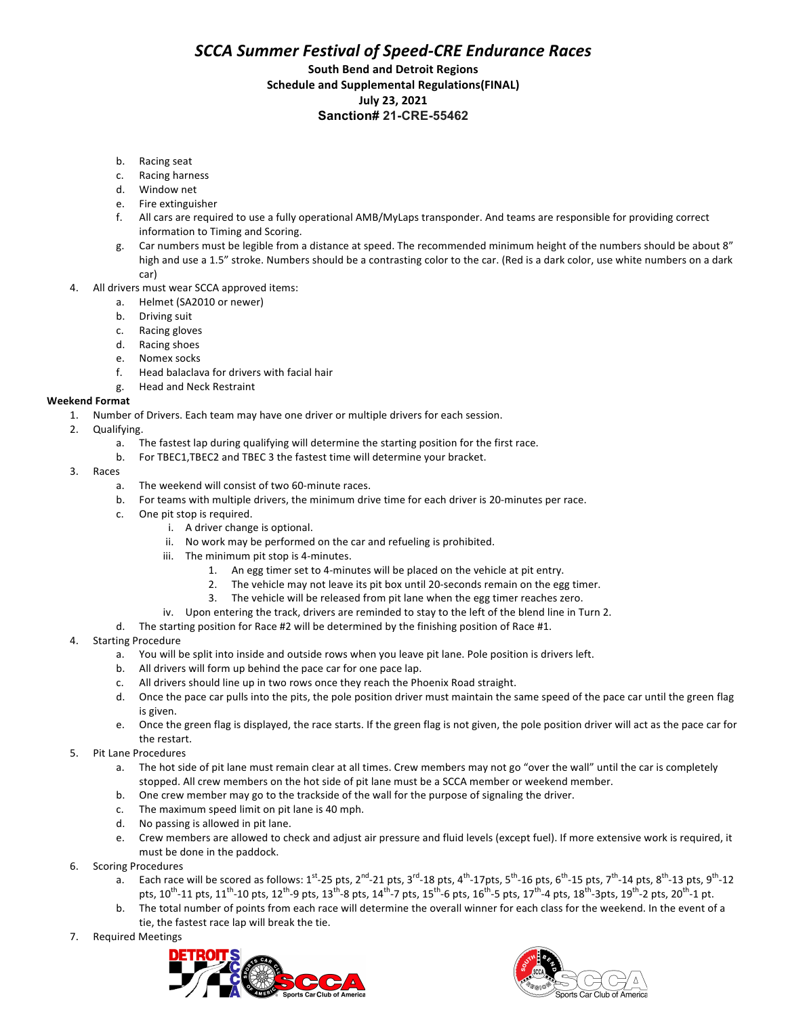# *SCCA Summer Festival of Speed-CRE Endurance Races*

### **South Bend and Detroit Regions Schedule and Supplemental Regulations(FINAL) July 23, 2021 Sanction# 21-CRE-55462**

- b. Racing seat
- c. Racing harness
- d. Window net
- e. Fire extinguisher
- f. All cars are required to use a fully operational AMB/MyLaps transponder. And teams are responsible for providing correct information to Timing and Scoring.
- g. Car numbers must be legible from a distance at speed. The recommended minimum height of the numbers should be about 8" high and use a 1.5" stroke. Numbers should be a contrasting color to the car. (Red is a dark color, use white numbers on a dark car)
- 4. All drivers must wear SCCA approved items:
	- a. Helmet (SA2010 or newer)
	- b. Driving suit
	- c. Racing gloves
	- d. Racing shoes
	- e. Nomex socks
	- f. Head balaclava for drivers with facial hair
	- g. Head and Neck Restraint

#### **Weekend Format**

- 1. Number of Drivers. Each team may have one driver or multiple drivers for each session.
- 2. Qualifying.
	- a. The fastest lap during qualifying will determine the starting position for the first race.
	- b. For TBEC1,TBEC2 and TBEC 3 the fastest time will determine your bracket.
- 3. Races
	- a. The weekend will consist of two 60-minute races.
	- b. For teams with multiple drivers, the minimum drive time for each driver is 20-minutes per race.
	- c. One pit stop is required.
		- i. A driver change is optional.
		- ii. No work may be performed on the car and refueling is prohibited.
		- iii. The minimum pit stop is 4-minutes.
			- 1. An egg timer set to 4-minutes will be placed on the vehicle at pit entry.
			- 2. The vehicle may not leave its pit box until 20-seconds remain on the egg timer.
			- 3. The vehicle will be released from pit lane when the egg timer reaches zero.
		- iv. Upon entering the track, drivers are reminded to stay to the left of the blend line in Turn 2.
	- d. The starting position for Race #2 will be determined by the finishing position of Race #1.
- 4. Starting Procedure
	- a. You will be split into inside and outside rows when you leave pit lane. Pole position is drivers left.
	- b. All drivers will form up behind the pace car for one pace lap.
	- c. All drivers should line up in two rows once they reach the Phoenix Road straight.
	- d. Once the pace car pulls into the pits, the pole position driver must maintain the same speed of the pace car until the green flag is given.
	- e. Once the green flag is displayed, the race starts. If the green flag is not given, the pole position driver will act as the pace car for the restart.
- 5. Pit Lane Procedures
	- a. The hot side of pit lane must remain clear at all times. Crew members may not go "over the wall" until the car is completely stopped. All crew members on the hot side of pit lane must be a SCCA member or weekend member.
	- b. One crew member may go to the trackside of the wall for the purpose of signaling the driver.
	- c. The maximum speed limit on pit lane is 40 mph.
	- d. No passing is allowed in pit lane.
	- e. Crew members are allowed to check and adjust air pressure and fluid levels (except fuel). If more extensive work is required, it must be done in the paddock.
- 6. Scoring Procedures
	- a. Each race will be scored as follows:  $1^{st}$ -25 pts, 2<sup>nd</sup>-21 pts, 3<sup>rd</sup>-18 pts, 4<sup>th</sup>-17pts, 5<sup>th</sup>-16 pts, 6<sup>th</sup>-15 pts, 7<sup>th</sup>-14 pts, 8<sup>th</sup>-13 pts, 9<sup>th</sup>-12 pts,  $10^{th}$ -11 pts,  $11^{th}$ -10 pts,  $12^{th}$ -9 pts,  $13^{th}$ -8 pts,  $14^{th}$ -7 pts,  $15^{th}$ -6 pts,  $16^{th}$ -5 pts,  $17^{th}$ -4 pts,  $18^{th}$ -3 pts,  $19^{th}$ -2 pts,  $20^{th}$ -1 pt.
	- b. The total number of points from each race will determine the overall winner for each class for the weekend. In the event of a tie, the fastest race lap will break the tie.
- 7. Required Meetings



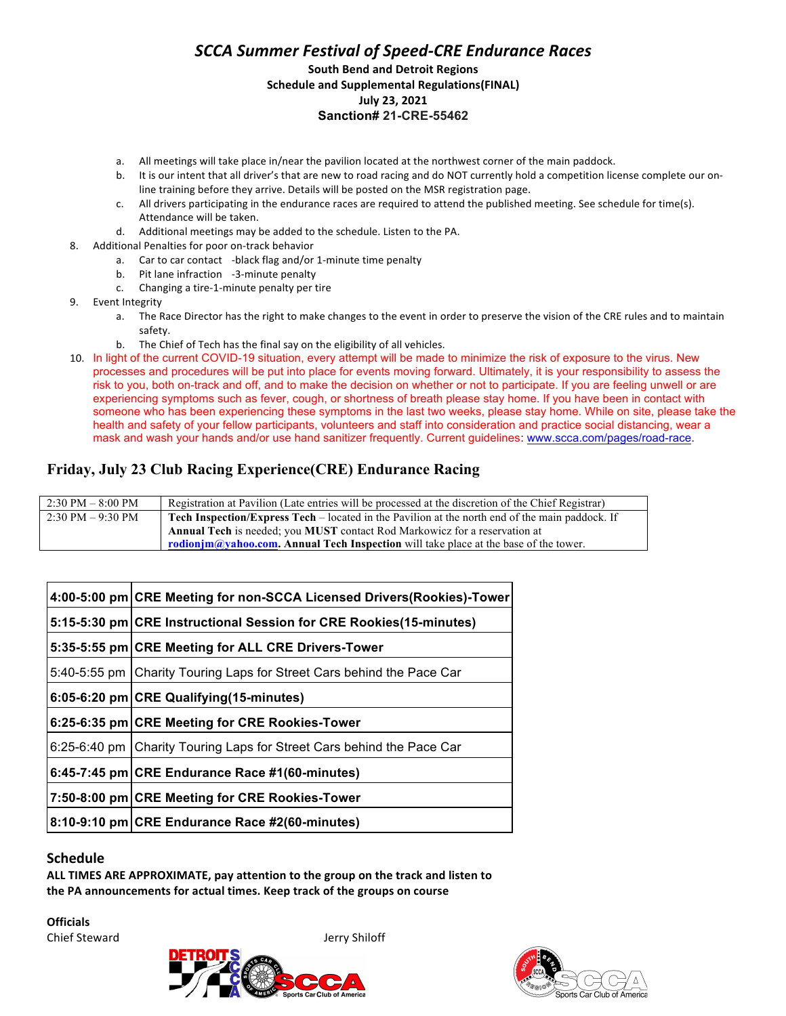## *SCCA Summer Festival of Speed-CRE Endurance Races* **South Bend and Detroit Regions Schedule and Supplemental Regulations(FINAL) July 23, 2021 Sanction# 21-CRE-55462**

- a. All meetings will take place in/near the pavilion located at the northwest corner of the main paddock.
- b. It is our intent that all driver's that are new to road racing and do NOT currently hold a competition license complete our online training before they arrive. Details will be posted on the MSR registration page.
- c. All drivers participating in the endurance races are required to attend the published meeting. See schedule for time(s). Attendance will be taken.
- d. Additional meetings may be added to the schedule. Listen to the PA.
- 8. Additional Penalties for poor on-track behavior
	- a. Car to car contact -black flag and/or 1-minute time penalty
	- b. Pit lane infraction -3-minute penalty
	- c. Changing a tire-1-minute penalty per tire
- 9. Event Integrity
	- a. The Race Director has the right to make changes to the event in order to preserve the vision of the CRE rules and to maintain safety.
	- b. The Chief of Tech has the final say on the eligibility of all vehicles.
- 10. In light of the current COVID-19 situation, every attempt will be made to minimize the risk of exposure to the virus. New processes and procedures will be put into place for events moving forward. Ultimately, it is your responsibility to assess the risk to you, both on-track and off, and to make the decision on whether or not to participate. If you are feeling unwell or are experiencing symptoms such as fever, cough, or shortness of breath please stay home. If you have been in contact with someone who has been experiencing these symptoms in the last two weeks, please stay home. While on site, please take the health and safety of your fellow participants, volunteers and staff into consideration and practice social distancing, wear a mask and wash your hands and/or use hand sanitizer frequently. Current guidelines: www.scca.com/pages/road-race.

# **Friday, July 23 Club Racing Experience(CRE) Endurance Racing**

| $2:30 \text{ PM} - 8:00 \text{ PM}$ | Registration at Pavilion (Late entries will be processed at the discretion of the Chief Registrar)     |
|-------------------------------------|--------------------------------------------------------------------------------------------------------|
| $2:30 \text{ PM} - 9:30 \text{ PM}$ | <b>Tech Inspection/Express Tech</b> – located in the Pavilion at the north end of the main paddock. If |
|                                     | <b>Annual Tech</b> is needed; you <b>MUST</b> contact Rod Markowicz for a reservation at               |
|                                     | rodionim@vahoo.com. Annual Tech Inspection will take place at the base of the tower.                   |

| 4:00-5:00 pm CRE Meeting for non-SCCA Licensed Drivers(Rookies)-Tower   |
|-------------------------------------------------------------------------|
| 5:15-5:30 pm CRE Instructional Session for CRE Rookies (15-minutes)     |
| 5:35-5:55 pm CRE Meeting for ALL CRE Drivers-Tower                      |
| 5:40-5:55 pm   Charity Touring Laps for Street Cars behind the Pace Car |
| 6:05-6:20 pm CRE Qualifying (15-minutes)                                |
| 6:25-6:35 pm CRE Meeting for CRE Rookies-Tower                          |
| 6:25-6:40 pm   Charity Touring Laps for Street Cars behind the Pace Car |
| $6:45-7:45$ pm CRE Endurance Race #1(60-minutes)                        |
| 7:50-8:00 pm CRE Meeting for CRE Rookies-Tower                          |
| 8:10-9:10 pm CRE Endurance Race #2(60-minutes)                          |

### **Schedule**

ALL TIMES ARE APPROXIMATE, pay attention to the group on the track and listen to the PA announcements for actual times. Keep track of the groups on course

**Officials** Chief Steward **Jerry Shiloff**